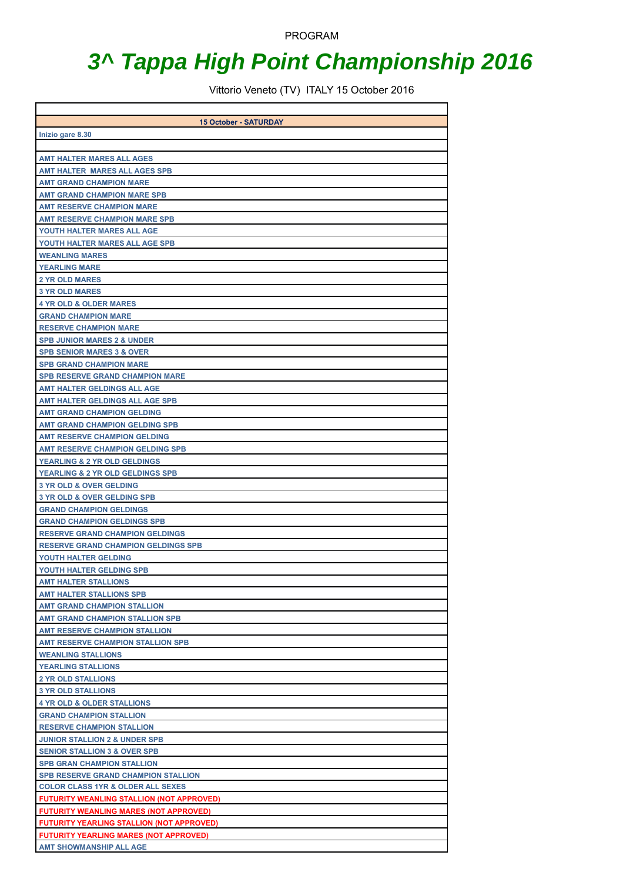PROGRAM

## **3^ Tappa High Point Championship 2016**

Vittorio Veneto (TV) ITALY 15 October 2016

| <b>15 October - SATURDAY</b>                                          |
|-----------------------------------------------------------------------|
| Inizio gare 8.30                                                      |
|                                                                       |
| <b>AMT HALTER MARES ALL AGES</b>                                      |
| <b>AMT HALTER MARES ALL AGES SPB</b>                                  |
| <b>AMT GRAND CHAMPION MARE</b>                                        |
| <b>AMT GRAND CHAMPION MARE SPB</b>                                    |
| <b>AMT RESERVE CHAMPION MARE</b>                                      |
| <b>AMT RESERVE CHAMPION MARE SPB</b>                                  |
| YOUTH HALTER MARES ALL AGE                                            |
| YOUTH HALTER MARES ALL AGE SPB                                        |
| <b>WEANLING MARES</b>                                                 |
| <b>YEARLING MARE</b>                                                  |
| <b>2 YR OLD MARES</b>                                                 |
| <b>3 YR OLD MARES</b>                                                 |
| <b>4 YR OLD &amp; OLDER MARES</b>                                     |
| <b>GRAND CHAMPION MARE</b>                                            |
| <b>RESERVE CHAMPION MARE</b>                                          |
| <b>SPB JUNIOR MARES 2 &amp; UNDER</b>                                 |
| <b>SPB SENIOR MARES 3 &amp; OVER</b>                                  |
| <b>SPB GRAND CHAMPION MARE</b>                                        |
| <b>SPB RESERVE GRAND CHAMPION MARE</b>                                |
| <b>AMT HALTER GELDINGS ALL AGE</b><br>AMT HALTER GELDINGS ALL AGE SPB |
| <b>AMT GRAND CHAMPION GELDING</b>                                     |
| <b>AMT GRAND CHAMPION GELDING SPB</b>                                 |
| <b>AMT RESERVE CHAMPION GELDING</b>                                   |
| <b>AMT RESERVE CHAMPION GELDING SPB</b>                               |
| YEARLING & 2 YR OLD GELDINGS                                          |
| <b>YEARLING &amp; 2 YR OLD GELDINGS SPB</b>                           |
| <b>3 YR OLD &amp; OVER GELDING</b>                                    |
| <b>3 YR OLD &amp; OVER GELDING SPB</b>                                |
| <b>GRAND CHAMPION GELDINGS</b>                                        |
| <b>GRAND CHAMPION GELDINGS SPB</b>                                    |
| <b>RESERVE GRAND CHAMPION GELDINGS</b>                                |
| <b>RESERVE GRAND CHAMPION GELDINGS SPB</b>                            |
| YOUTH HALTER GELDING                                                  |
| YOUTH HALTER GELDING SPB                                              |
| <b>AMT HALTER STALLIONS</b>                                           |
| <b>AMT HALTER STALLIONS SPB</b>                                       |
| <b>AMT GRAND CHAMPION STALLION</b>                                    |
| <b>AMT GRAND CHAMPION STALLION SPB</b>                                |
| <b>AMT RESERVE CHAMPION STALLION</b>                                  |
| <b>AMT RESERVE CHAMPION STALLION SPB</b>                              |
| <b>WEANLING STALLIONS</b>                                             |
| <b>YEARLING STALLIONS</b>                                             |
| <b>2 YR OLD STALLIONS</b>                                             |
| <b>3 YR OLD STALLIONS</b>                                             |
| <b>4 YR OLD &amp; OLDER STALLIONS</b>                                 |
| <b>GRAND CHAMPION STALLION</b>                                        |
| <b>RESERVE CHAMPION STALLION</b>                                      |
| <b>JUNIOR STALLION 2 &amp; UNDER SPB</b>                              |
| <b>SENIOR STALLION 3 &amp; OVER SPB</b>                               |
| <b>SPB GRAN CHAMPION STALLION</b>                                     |
| <b>SPB RESERVE GRAND CHAMPION STALLION</b>                            |
| <b>COLOR CLASS 1YR &amp; OLDER ALL SEXES</b>                          |
| <b>FUTURITY WEANLING STALLION (NOT APPROVED)</b>                      |
| <b>FUTURITY WEANLING MARES (NOT APPROVED)</b>                         |
| <b>FUTURITY YEARLING STALLION (NOT APPROVED)</b>                      |
| <b>FUTURITY YEARLING MARES (NOT APPROVED)</b>                         |
| <b>AMT SHOWMANSHIP ALL AGE</b>                                        |